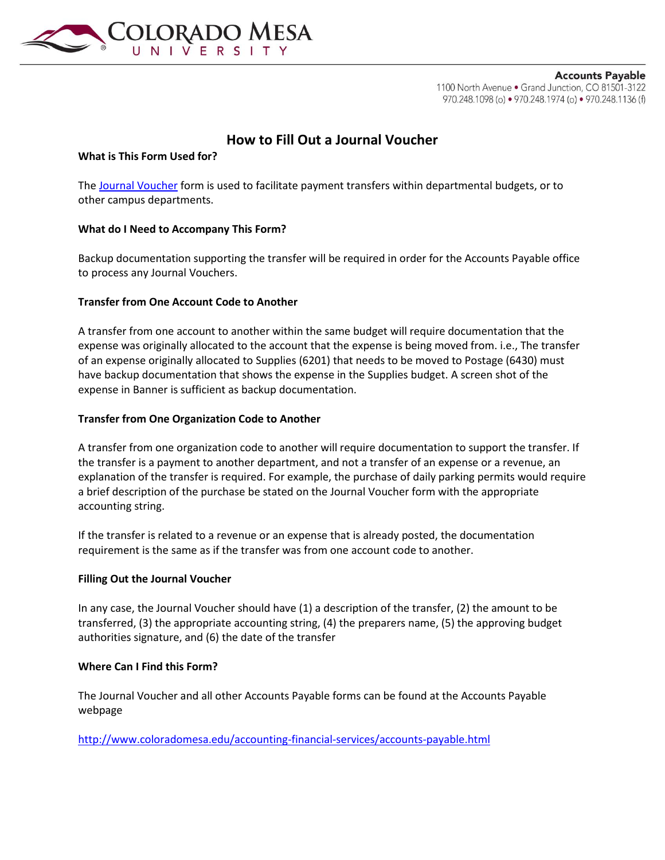

**Accounts Payable** 1100 North Avenue . Grand Junction, CO 81501-3122 970.248.1098 (o) • 970.248.1974 (o) • 970.248.1136 (f)

# **How to Fill Out a Journal Voucher**

# **What is This Form Used for?**

The [Journal Voucher](http://www.coloradomesa.edu/student-accounts/documents/JournalVoucherForm.xls) form is used to facilitate payment transfers within departmental budgets, or to other campus departments.

# **What do I Need to Accompany This Form?**

Backup documentation supporting the transfer will be required in order for the Accounts Payable office to process any Journal Vouchers.

# **Transfer from One Account Code to Another**

A transfer from one account to another within the same budget will require documentation that the expense was originally allocated to the account that the expense is being moved from. i.e., The transfer of an expense originally allocated to Supplies (6201) that needs to be moved to Postage (6430) must have backup documentation that shows the expense in the Supplies budget. A screen shot of the expense in Banner is sufficient as backup documentation.

# **Transfer from One Organization Code to Another**

A transfer from one organization code to another will require documentation to support the transfer. If the transfer is a payment to another department, and not a transfer of an expense or a revenue, an explanation of the transfer is required. For example, the purchase of daily parking permits would require a brief description of the purchase be stated on the Journal Voucher form with the appropriate accounting string.

If the transfer is related to a revenue or an expense that is already posted, the documentation requirement is the same as if the transfer was from one account code to another.

#### **Filling Out the Journal Voucher**

In any case, the Journal Voucher should have (1) a description of the transfer, (2) the amount to be transferred, (3) the appropriate accounting string, (4) the preparers name, (5) the approving budget authorities signature, and (6) the date of the transfer

#### **Where Can I Find this Form?**

The Journal Voucher and all other Accounts Payable forms can be found at the Accounts Payable webpage

<http://www.coloradomesa.edu/accounting-financial-services/accounts-payable.html>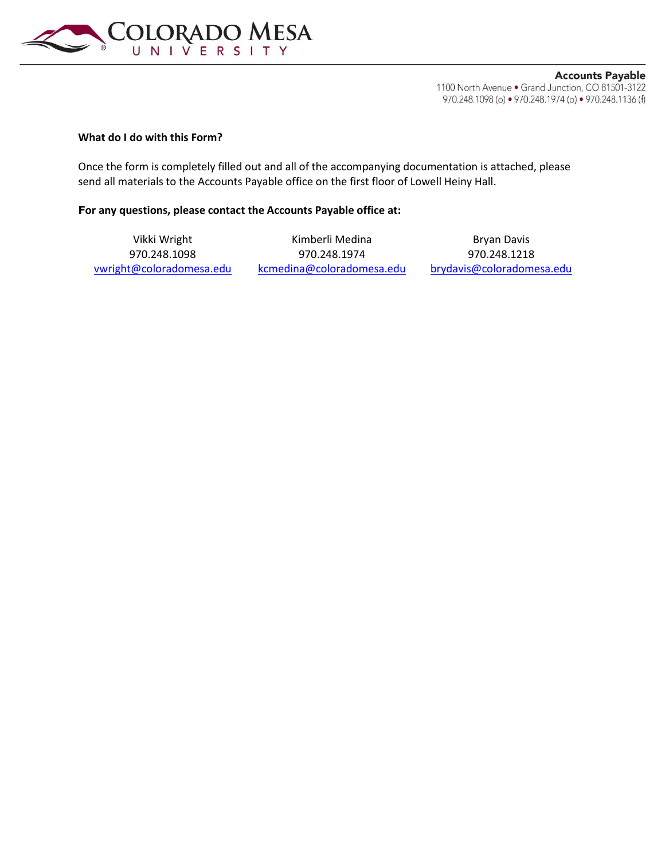

**Accounts Payable** 1100 North Avenue . Grand Junction, CO 81501-3122 970.248.1098 (o) • 970.248.1974 (o) • 970.248.1136 (f)

# **What do I do with this Form?**

Once the form is completely filled out and all of the accompanying documentation is attached, please send all materials to the Accounts Payable office on the first floor of Lowell Heiny Hall.

#### **For any questions, please contact the Accounts Payable office at:**

Vikki Wright **Kimberli Medina** Bryan Davis 970.248.1098 970.248.1974 970.248.1218 [vwright@coloradomesa.edu](mailto:vwright@coloradomesa.edu) [kcmedina@coloradomesa.edu](mailto:kcmedina@coloradomesa.edu) [brydavis@coloradomesa.edu](mailto:brydavis@coloradomesa.edu)